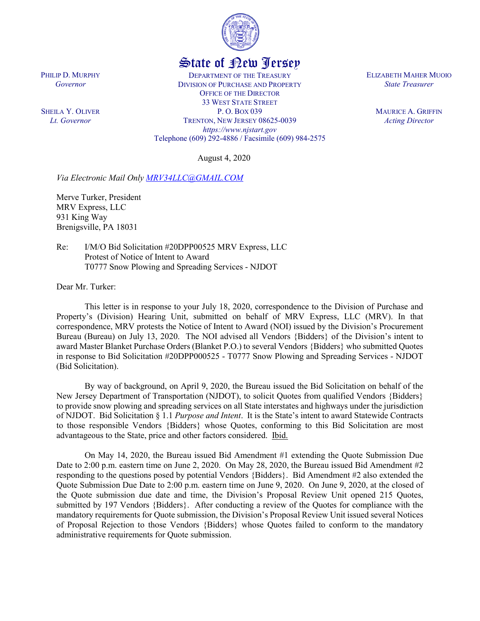

## State of New Jersey

DEPARTMENT OF THE TREASURY DIVISION OF PURCHASE AND PROPERTY OFFICE OF THE DIRECTOR 33 WEST STATE STREET P. O. BOX 039 TRENTON, NEW JERSEY 08625-0039 *https://www.njstart.gov* Telephone (609) 292-4886 / Facsimile (609) 984-2575

August 4, 2020

*Via Electronic Mail Only [MRV34LLC@GMAIL.COM](mailto:MRV34LLC@GMAIL.COM)*

Merve Turker, President MRV Express, LLC 931 King Way Brenigsville, PA 18031

PHILIP D. MURPHY *Governor*

SHEILA Y. OLIVER *Lt. Governor*

> Re: I/M/O Bid Solicitation #20DPP00525 MRV Express, LLC Protest of Notice of Intent to Award T0777 Snow Plowing and Spreading Services - NJDOT

Dear Mr. Turker:

This letter is in response to your July 18, 2020, correspondence to the Division of Purchase and Property's (Division) Hearing Unit, submitted on behalf of MRV Express, LLC (MRV). In that correspondence, MRV protests the Notice of Intent to Award (NOI) issued by the Division's Procurement Bureau (Bureau) on July 13, 2020. The NOI advised all Vendors {Bidders} of the Division's intent to award Master Blanket Purchase Orders (Blanket P.O.) to several Vendors {Bidders} who submitted Quotes in response to Bid Solicitation #20DPP000525 - T0777 Snow Plowing and Spreading Services - NJDOT (Bid Solicitation).

By way of background, on April 9, 2020, the Bureau issued the Bid Solicitation on behalf of the New Jersey Department of Transportation (NJDOT), to solicit Quotes from qualified Vendors {Bidders} to provide snow plowing and spreading services on all State interstates and highways under the jurisdiction of NJDOT. Bid Solicitation § 1.1 *Purpose and Intent*. It is the State's intent to award Statewide Contracts to those responsible Vendors {Bidders} whose Quotes, conforming to this Bid Solicitation are most advantageous to the State, price and other factors considered. Ibid.

On May 14, 2020, the Bureau issued Bid Amendment #1 extending the Quote Submission Due Date to 2:00 p.m. eastern time on June 2, 2020. On May 28, 2020, the Bureau issued Bid Amendment #2 responding to the questions posed by potential Vendors {Bidders}. Bid Amendment #2 also extended the Quote Submission Due Date to 2:00 p.m. eastern time on June 9, 2020. On June 9, 2020, at the closed of the Quote submission due date and time, the Division's Proposal Review Unit opened 215 Quotes, submitted by 197 Vendors {Bidders}. After conducting a review of the Quotes for compliance with the mandatory requirements for Quote submission, the Division's Proposal Review Unit issued several Notices of Proposal Rejection to those Vendors {Bidders} whose Quotes failed to conform to the mandatory administrative requirements for Quote submission.

ELIZABETH MAHER MUOIO *State Treasurer*

> MAURICE A. GRIFFIN *Acting Director*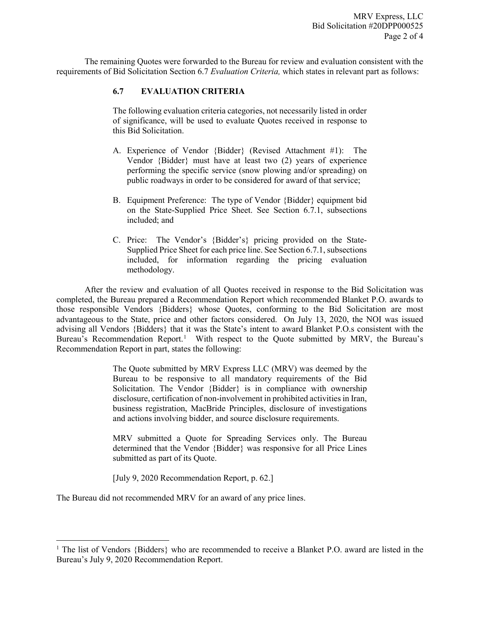The remaining Quotes were forwarded to the Bureau for review and evaluation consistent with the requirements of Bid Solicitation Section 6.7 *Evaluation Criteria,* which states in relevant part as follows:

## **6.7 EVALUATION CRITERIA**

The following evaluation criteria categories, not necessarily listed in order of significance, will be used to evaluate Quotes received in response to this Bid Solicitation.

- A. Experience of Vendor {Bidder} (Revised Attachment #1): The Vendor {Bidder} must have at least two (2) years of experience performing the specific service (snow plowing and/or spreading) on public roadways in order to be considered for award of that service;
- B. Equipment Preference: The type of Vendor {Bidder} equipment bid on the State-Supplied Price Sheet. See Section 6.7.1, subsections included; and
- C. Price: The Vendor's {Bidder's} pricing provided on the State-Supplied Price Sheet for each price line. See Section 6.7.1, subsections included, for information regarding the pricing evaluation methodology.

After the review and evaluation of all Quotes received in response to the Bid Solicitation was completed, the Bureau prepared a Recommendation Report which recommended Blanket P.O. awards to those responsible Vendors {Bidders} whose Quotes, conforming to the Bid Solicitation are most advantageous to the State, price and other factors considered. On July 13, 2020, the NOI was issued advising all Vendors {Bidders} that it was the State's intent to award Blanket P.O.s consistent with the Bureau's Recommendation Report.<sup>[1](#page-1-0)</sup> With respect to the Quote submitted by MRV, the Bureau's Recommendation Report in part, states the following:

> The Quote submitted by MRV Express LLC (MRV) was deemed by the Bureau to be responsive to all mandatory requirements of the Bid Solicitation. The Vendor {Bidder} is in compliance with ownership disclosure, certification of non-involvement in prohibited activities in Iran, business registration, MacBride Principles, disclosure of investigations and actions involving bidder, and source disclosure requirements.

> MRV submitted a Quote for Spreading Services only. The Bureau determined that the Vendor {Bidder} was responsive for all Price Lines submitted as part of its Quote.

[July 9, 2020 Recommendation Report, p. 62.]

The Bureau did not recommended MRV for an award of any price lines.

l

<span id="page-1-0"></span><sup>&</sup>lt;sup>1</sup> The list of Vendors {Bidders} who are recommended to receive a Blanket P.O. award are listed in the Bureau's July 9, 2020 Recommendation Report.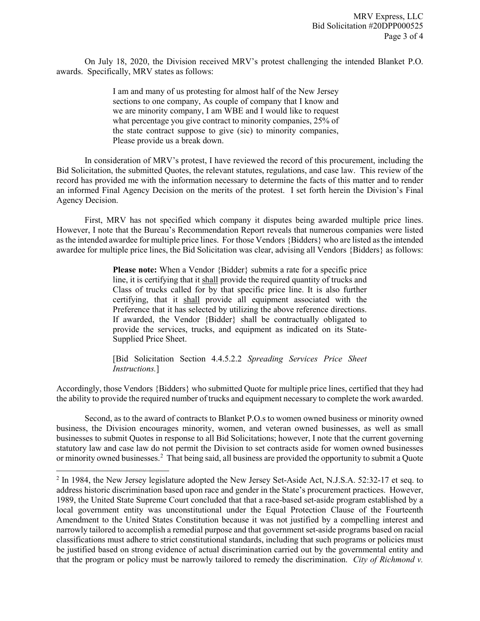On July 18, 2020, the Division received MRV's protest challenging the intended Blanket P.O. awards. Specifically, MRV states as follows:

> I am and many of us protesting for almost half of the New Jersey sections to one company, As couple of company that I know and we are minority company, I am WBE and I would like to request what percentage you give contract to minority companies, 25% of the state contract suppose to give (sic) to minority companies, Please provide us a break down.

In consideration of MRV's protest, I have reviewed the record of this procurement, including the Bid Solicitation, the submitted Quotes, the relevant statutes, regulations, and case law. This review of the record has provided me with the information necessary to determine the facts of this matter and to render an informed Final Agency Decision on the merits of the protest. I set forth herein the Division's Final Agency Decision.

First, MRV has not specified which company it disputes being awarded multiple price lines. However, I note that the Bureau's Recommendation Report reveals that numerous companies were listed as the intended awardee for multiple price lines. For those Vendors {Bidders} who are listed as the intended awardee for multiple price lines, the Bid Solicitation was clear, advising all Vendors {Bidders} as follows:

> **Please note:** When a Vendor {Bidder} submits a rate for a specific price line, it is certifying that it shall provide the required quantity of trucks and Class of trucks called for by that specific price line. It is also further certifying, that it shall provide all equipment associated with the Preference that it has selected by utilizing the above reference directions. If awarded, the Vendor {Bidder} shall be contractually obligated to provide the services, trucks, and equipment as indicated on its State-Supplied Price Sheet.

> [Bid Solicitation Section 4.4.5.2.2 *Spreading Services Price Sheet Instructions.*]

Accordingly, those Vendors {Bidders} who submitted Quote for multiple price lines, certified that they had the ability to provide the required number of trucks and equipment necessary to complete the work awarded.

Second, as to the award of contracts to Blanket P.O.s to women owned business or minority owned business, the Division encourages minority, women, and veteran owned businesses, as well as small businesses to submit Quotes in response to all Bid Solicitations; however, I note that the current governing statutory law and case law do not permit the Division to set contracts aside for women owned businesses or minority owned businesses.<sup>[2](#page-2-0)</sup> That being said, all business are provided the opportunity to submit a Quote

l

<span id="page-2-0"></span><sup>&</sup>lt;sup>2</sup> In 1984, the New Jersey legislature adopted the New Jersey Set-Aside Act, N.J.S.A. 52:32-17 et seq. to address historic discrimination based upon race and gender in the State's procurement practices. However, 1989, the United State Supreme Court concluded that that a race-based set-aside program established by a local government entity was unconstitutional under the Equal Protection Clause of the Fourteenth Amendment to the United States Constitution because it was not justified by a compelling interest and narrowly tailored to accomplish a remedial purpose and that government set-aside programs based on racial classifications must adhere to strict constitutional standards, including that such programs or policies must be justified based on strong evidence of actual discrimination carried out by the governmental entity and that the program or policy must be narrowly tailored to remedy the discrimination. *City of Richmond v.*